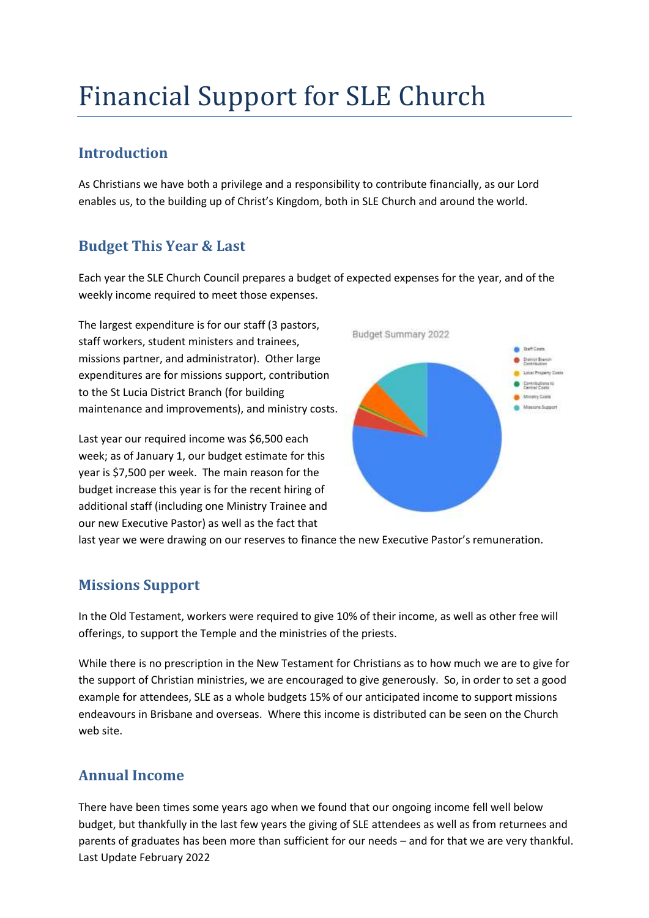# Financial Support for SLE Church

#### **Introduction**

As Christians we have both a privilege and a responsibility to contribute financially, as our Lord enables us, to the building up of Christ's Kingdom, both in SLE Church and around the world.

## **Budget This Year & Last**

Each year the SLE Church Council prepares a budget of expected expenses for the year, and of the weekly income required to meet those expenses.

The largest expenditure is for our staff (3 pastors, staff workers, student ministers and trainees, missions partner, and administrator). Other large expenditures are for missions support, contribution to the St Lucia District Branch (for building maintenance and improvements), and ministry costs.

Last year our required income was \$6,500 each week; as of January 1, our budget estimate for this year is \$7,500 per week. The main reason for the budget increase this year is for the recent hiring of additional staff (including one Ministry Trainee and our new Executive Pastor) as well as the fact that



last year we were drawing on our reserves to finance the new Executive Pastor's remuneration.

## **Missions Support**

In the Old Testament, workers were required to give 10% of their income, as well as other free will offerings, to support the Temple and the ministries of the priests.

While there is no prescription in the New Testament for Christians as to how much we are to give for the support of Christian ministries, we are encouraged to give generously. So, in order to set a good example for attendees, SLE as a whole budgets 15% of our anticipated income to support missions endeavours in Brisbane and overseas. Where this income is distributed can be seen on the Church web site.

## **Annual Income**

Last Update February 2022 There have been times some years ago when we found that our ongoing income fell well below budget, but thankfully in the last few years the giving of SLE attendees as well as from returnees and parents of graduates has been more than sufficient for our needs – and for that we are very thankful.